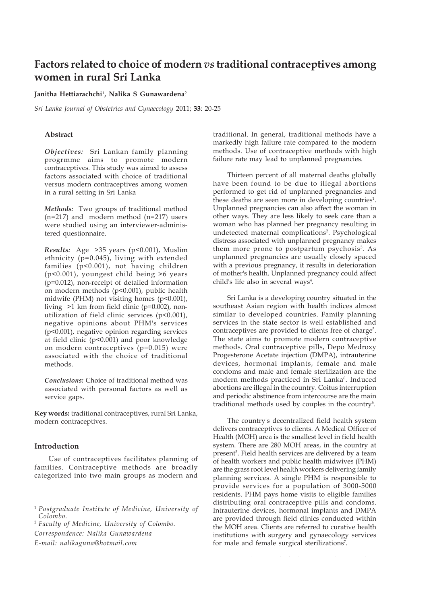### **Factors related to choice of modern** *vs* **traditional contraceptives among women in rural Sri Lanka**

### **Janitha Hettiarachchi**<sup>1</sup> **, Nalika S Gunawardena**<sup>2</sup>

*Sri Lanka Journal of Obstetrics and Gynaecology* 2011; **33**: 20-25

### **Abstract**

*Objectives:* Sri Lankan family planning progrmme aims to promote modern contraceptives. This study was aimed to assess factors associated with choice of traditional versus modern contraceptives among women in a rural setting in Sri Lanka

*Methods:* Two groups of traditional method (n=217) and modern method (n=217) users were studied using an interviewer-administered questionnaire.

*Results:* Age >35 years (p<0.001), Muslim ethnicity (p=0.045), living with extended families (p<0.001), not having children (p<0.001), youngest child being >6 years (p=0.012), non-receipt of detailed information on modern methods (p<0.001), public health midwife (PHM) not visiting homes (p<0.001), living >1 km from field clinic (p=0.002), nonutilization of field clinic services (p<0.001), negative opinions about PHM's services (p<0.001), negative opinion regarding services at field clinic (p<0.001) and poor knowledge on modern contraceptives (p=0.015) were associated with the choice of traditional methods.

*Conclusions:* Choice of traditional method was associated with personal factors as well as service gaps.

**Key words:** traditional contraceptives, rural Sri Lanka, modern contraceptives.

### **Introduction**

Use of contraceptives facilitates planning of families. Contraceptive methods are broadly categorized into two main groups as modern and

<sup>2</sup> *Faculty of Medicine, University of Colombo. Correspondence: Nalika Gunawardena*

*E-mail: nalikaguna@hotmail.com*

traditional. In general, traditional methods have a markedly high failure rate compared to the modern methods. Use of contraceptive methods with high failure rate may lead to unplanned pregnancies.

Thirteen percent of all maternal deaths globally have been found to be due to illegal abortions performed to get rid of unplanned pregnancies and these deaths are seen more in developing countries<sup>1</sup>. Unplanned pregnancies can also affect the woman in other ways. They are less likely to seek care than a woman who has planned her pregnancy resulting in undetected maternal complications<sup>2</sup>. Psychological distress associated with unplanned pregnancy makes them more prone to postpartum psychosis<sup>3</sup>. As unplanned pregnancies are usually closely spaced with a previous pregnancy, it results in deterioration of mother's health. Unplanned pregnancy could affect child's life also in several ways<sup>4</sup>.

Sri Lanka is a developing country situated in the southeast Asian region with health indices almost similar to developed countries. Family planning services in the state sector is well established and contraceptives are provided to clients free of charge<sup>5</sup>. The state aims to promote modern contraceptive methods. Oral contraceptive pills, Depo Medroxy Progesterone Acetate injection (DMPA), intrauterine devices, hormonal implants, female and male condoms and male and female sterilization are the modern methods practiced in Sri Lanka<sup>6</sup>. Induced abortions are illegal in the country. Coitus interruption and periodic abstinence from intercourse are the main traditional methods used by couples in the country $6$ .

The country's decentralized field health system delivers contraceptives to clients. A Medical Officer of Health (MOH) area is the smallest level in field health system. There are 280 MOH areas, in the country at present<sup>5</sup>. Field health services are delivered by a team of health workers and public health midwives (PHM) are the grass root level health workers delivering family planning services. A single PHM is responsible to provide services for a population of 3000-5000 residents. PHM pays home visits to eligible families distributing oral contraceptive pills and condoms. Intrauterine devices, hormonal implants and DMPA are provided through field clinics conducted within the MOH area. Clients are referred to curative health institutions with surgery and gynaecology services for male and female surgical sterilizations<sup>7</sup>.

<sup>1</sup> *Postgraduate Institute of Medicine, University of Colombo.*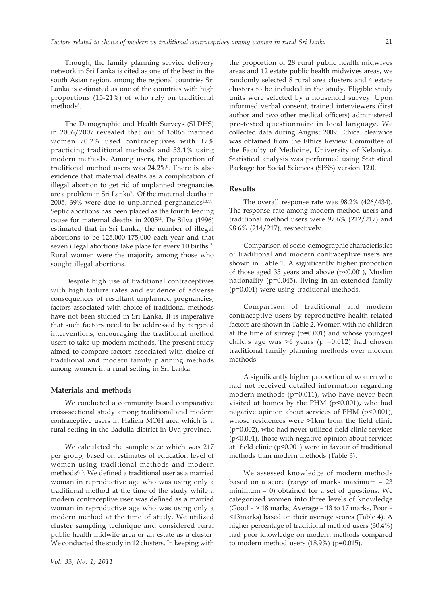Though, the family planning service delivery network in Sri Lanka is cited as one of the best in the south Asian region, among the regional countries Sri Lanka is estimated as one of the countries with high proportions (15-21%) of who rely on traditional methods<sup>8</sup>.

The Demographic and Health Surveys (SLDHS) in 2006/2007 revealed that out of 15068 married women 70.2% used contraceptives with 17% practicing traditional methods and 53.1% using modern methods. Among users, the proportion of traditional method users was 24.2%<sup>6</sup>. There is also evidence that maternal deaths as a complication of illegal abortion to get rid of unplanned pregnancies are a problem in Sri Lanka<sup>9</sup>. Of the maternal deaths in 2005, 39% were due to unplanned pergnancies $10,11$ . Septic abortions has been placed as the fourth leading cause for maternal deaths in 2005<sup>11</sup>. De Silva (1996) estimated that in Sri Lanka, the number of illegal abortions to be 125,000-175,000 each year and that seven illegal abortions take place for every 10 births<sup>12</sup>. Rural women were the majority among those who sought illegal abortions.

Despite high use of traditional contraceptives with high failure rates and evidence of adverse consequences of resultant unplanned pregnancies, factors associated with choice of traditional methods have not been studied in Sri Lanka. It is imperative that such factors need to be addressed by targeted interventions, encouraging the traditional method users to take up modern methods. The present study aimed to compare factors associated with choice of traditional and modern family planning methods among women in a rural setting in Sri Lanka.

### **Materials and methods**

We conducted a community based comparative cross-sectional study among traditional and modern contraceptive users in Haliela MOH area which is a rural setting in the Badulla district in Uva province.

We calculated the sample size which was 217 per group, based on estimates of education level of women using traditional methods and modern methods6,13. We defined a traditional user as a married woman in reproductive age who was using only a traditional method at the time of the study while a modern contraceptive user was defined as a married woman in reproductive age who was using only a modern method at the time of study. We utilized cluster sampling technique and considered rural public health midwife area or an estate as a cluster. We conducted the study in 12 clusters. In keeping with the proportion of 28 rural public health midwives areas and 12 estate public health midwives areas, we randomly selected 8 rural area clusters and 4 estate clusters to be included in the study. Eligible study units were selected by a household survey. Upon informed verbal consent, trained interviewers (first author and two other medical officers) administered pre-tested questionnaire in local language. We collected data during August 2009. Ethical clearance was obtained from the Ethics Review Committee of the Faculty of Medicine, University of Kelaniya. Statistical analysis was performed using Statistical Package for Social Sciences (SPSS) version 12.0.

### **Results**

The overall response rate was 98.2% (426/434). The response rate among modern method users and traditional method users were 97.6% (212/217) and 98.6% (214/217), respectively.

Comparison of socio-demographic characteristics of traditional and modern contraceptive users are shown in Table 1. A significantly higher proportion of those aged 35 years and above (p<0.001), Muslim nationality (p=0.045), living in an extended family (p=0.001) were using traditional methods.

Comparison of traditional and modern contraceptive users by reproductive health related factors are shown in Table 2. Women with no children at the time of survey (p=0.001) and whose youngest child's age was  $>6$  years (p =0.012) had chosen traditional family planning methods over modern methods.

A significantly higher proportion of women who had not received detailed information regarding modern methods (p=0.011), who have never been visited at homes by the PHM (p<0.001), who had negative opinion about services of PHM (p<0.001), whose residences were >1km from the field clinic (p=0.002), who had never utilized field clinic services (p<0.001), those with negative opinion about services at field clinic (p<0.001) were in favour of traditional methods than modern methods (Table 3).

We assessed knowledge of modern methods based on a score (range of marks maximum – 23 minimum – 0) obtained for a set of questions. We categorized women into three levels of knowledge (Good – > 18 marks, Average – 13 to 17 marks, Poor – <13marks) based on their average scores (Table 4). A higher percentage of traditional method users (30.4%) had poor knowledge on modern methods compared to modern method users  $(18.9\%)$  (p=0.015).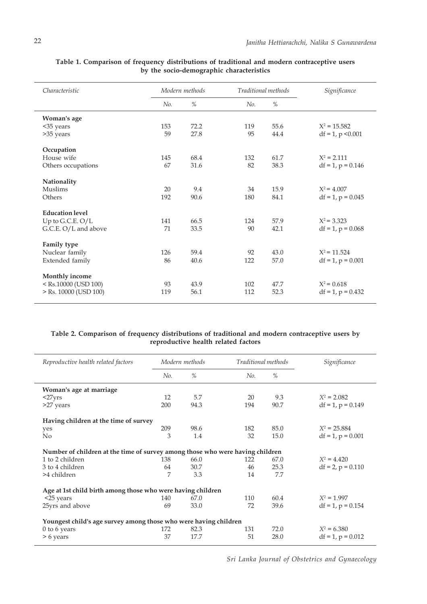| Characteristic                                                                                                                 | Modern methods |      | Traditional methods |      | Significance           |
|--------------------------------------------------------------------------------------------------------------------------------|----------------|------|---------------------|------|------------------------|
|                                                                                                                                | No.            | %    | No.                 | $\%$ |                        |
| Woman's age                                                                                                                    |                |      |                     |      |                        |
| <35 years                                                                                                                      | 153            | 72.2 | 119                 | 55.6 | $X^2 = 15.582$         |
| >35 years                                                                                                                      | 59             | 27.8 | 95                  | 44.4 | $df = 1$ , p < 0.001   |
| Occupation                                                                                                                     |                |      |                     |      |                        |
| House wife                                                                                                                     | 145            | 68.4 | 132                 | 61.7 | $X^2 = 2.111$          |
| Others occupations                                                                                                             | 67             | 31.6 | 82                  | 38.3 | $df = 1$ , $p = 0.146$ |
| Nationality                                                                                                                    |                |      |                     |      |                        |
| Muslims                                                                                                                        | 20             | 9.4  | 34                  | 15.9 | $X^2 = 4.007$          |
| Others                                                                                                                         | 192            | 90.6 | 180                 | 84.1 | $df = 1$ , $p = 0.045$ |
| <b>Education level</b>                                                                                                         |                |      |                     |      |                        |
| Up to G.C.E. $O/L$                                                                                                             | 141            | 66.5 | 124                 | 57.9 | $X^2 = 3.323$          |
| G.C.E. O/L and above                                                                                                           | 71             | 33.5 | 90                  | 42.1 | $df = 1$ , $p = 0.068$ |
| Family type                                                                                                                    |                |      |                     |      |                        |
| Nuclear family                                                                                                                 | 126            | 59.4 | 92                  | 43.0 | $X^2$ = 11.524         |
| Extended family                                                                                                                | 86             | 40.6 | 122                 | 57.0 | $df = 1$ , $p = 0.001$ |
| <b>Monthly income</b>                                                                                                          |                |      |                     |      |                        |
| <rs.10000 (usd="" 100)<="" td=""><td>93</td><td>43.9</td><td>102</td><td>47.7</td><td><math>X^2 = 0.618</math></td></rs.10000> | 93             | 43.9 | 102                 | 47.7 | $X^2 = 0.618$          |
| $>$ Rs. 10000 (USD 100)                                                                                                        | 119            | 56.1 | 112                 | 52.3 | $df = 1$ , $p = 0.432$ |

**Table 1. Comparison of frequency distributions of traditional and modern contraceptive users by the socio-demographic characteristics**

### **Table 2. Comparison of frequency distributions of traditional and modern contraceptive users by reproductive health related factors**

| Reproductive health related factors                                           | Modern methods |      | Traditional methods |      | Significance           |  |  |  |
|-------------------------------------------------------------------------------|----------------|------|---------------------|------|------------------------|--|--|--|
|                                                                               | No.            | $\%$ | No.                 | $\%$ |                        |  |  |  |
| Woman's age at marriage                                                       |                |      |                     |      |                        |  |  |  |
| $<27$ yrs                                                                     | 12             | 5.7  | 20                  | 9.3  | $X^2 = 2.082$          |  |  |  |
| >27 years                                                                     | 200            | 94.3 | 194                 | 90.7 | $df = 1$ , $p = 0.149$ |  |  |  |
| Having children at the time of survey                                         |                |      |                     |      |                        |  |  |  |
| yes                                                                           | 209            | 98.6 | 182                 | 85.0 | $X^2 = 25.884$         |  |  |  |
| No                                                                            | 3              | 1.4  | 32                  | 15.0 | $df = 1$ , $p = 0.001$ |  |  |  |
| Number of children at the time of survey among those who were having children |                |      |                     |      |                        |  |  |  |
| 1 to 2 children                                                               | 138            | 66.0 | 122                 | 67.0 | $X^2 = 4.420$          |  |  |  |
| 3 to 4 children                                                               | 64             | 30.7 | 46                  | 25.3 | $df = 2$ , $p = 0.110$ |  |  |  |
| >4 children                                                                   | 7              | 3.3  | 14                  | 7.7  |                        |  |  |  |
| Age at 1st child birth among those who were having children                   |                |      |                     |      |                        |  |  |  |
| $<$ 25 years                                                                  | 140            | 67.0 | 110                 | 60.4 | $X^2 = 1.997$          |  |  |  |
| 25yrs and above                                                               | 69             | 33.0 | 72                  | 39.6 | $df = 1$ , $p = 0.154$ |  |  |  |
| Youngest child's age survey among those who were having children              |                |      |                     |      |                        |  |  |  |
| $0$ to $6$ years                                                              | 172            | 82.3 | 131                 | 72.0 | $X^2 = 6.380$          |  |  |  |
| > 6 years                                                                     | 37             | 17.7 | 51                  | 28.0 | $df = 1$ , $p = 0.012$ |  |  |  |

*Sri Lanka Journal of Obstetrics and Gynaecology*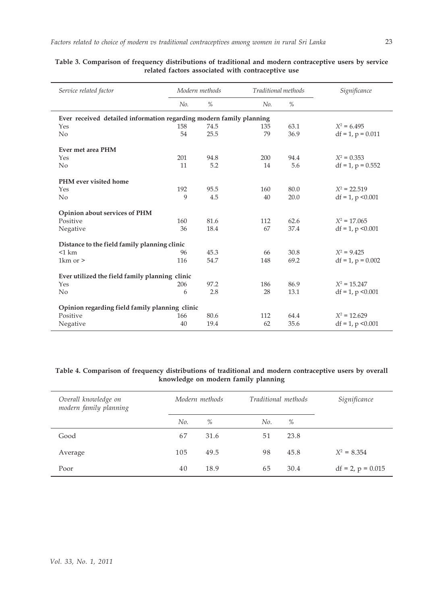| Service related factor                                              |     | Modern methods |     | Traditional methods | Significance           |
|---------------------------------------------------------------------|-----|----------------|-----|---------------------|------------------------|
|                                                                     | No. | $\%$           | No. | $\%$                |                        |
| Ever received detailed information regarding modern family planning |     |                |     |                     |                        |
| Yes                                                                 | 158 | 74.5           | 135 | 63.1                | $X^2 = 6.495$          |
| No                                                                  | 54  | 25.5           | 79  | 36.9                | $df = 1$ , $p = 0.011$ |
| Ever met area PHM                                                   |     |                |     |                     |                        |
| Yes                                                                 | 201 | 94.8           | 200 | 94.4                | $X^2 = 0.353$          |
| No                                                                  | 11  | 5.2            | 14  | 5.6                 | $df = 1$ , $p = 0.552$ |
| PHM ever visited home                                               |     |                |     |                     |                        |
| Yes                                                                 | 192 | 95.5           | 160 | 80.0                | $X^2 = 22.519$         |
| No                                                                  | 9   | 4.5            | 40  | 20.0                | $df = 1$ , p < 0.001   |
| Opinion about services of PHM                                       |     |                |     |                     |                        |
| Positive                                                            | 160 | 81.6           | 112 | 62.6                | $X^2 = 17.065$         |
| Negative                                                            | 36  | 18.4           | 67  | 37.4                | $df = 1$ , p < 0.001   |
| Distance to the field family planning clinic                        |     |                |     |                     |                        |
| $<$ 1 km                                                            | 96  | 45.3           | 66  | 30.8                | $X^2 = 9.425$          |
| 1 $km$ or $>$                                                       | 116 | 54.7           | 148 | 69.2                | $df = 1$ , $p = 0.002$ |
| Ever utilized the field family planning clinic                      |     |                |     |                     |                        |
| Yes                                                                 | 206 | 97.2           | 186 | 86.9                | $X^2 = 15.247$         |
| No                                                                  | 6   | 2.8            | 28  | 13.1                | $df = 1$ , p < 0.001   |
| Opinion regarding field family planning clinic                      |     |                |     |                     |                        |
| Positive                                                            | 166 | 80.6           | 112 | 64.4                | $X^2 = 12.629$         |
| Negative                                                            | 40  | 19.4           | 62  | 35.6                | $df = 1$ , p < 0.001   |

## **related factors associated with contraceptive use**

### **Table 4. Comparison of frequency distributions of traditional and modern contraceptive users by overall knowledge on modern family planning**

| Overall knowledge on<br>modern family planning | Modern methods |      | Traditional methods |      | Significance           |
|------------------------------------------------|----------------|------|---------------------|------|------------------------|
|                                                | No.            | $\%$ | No.                 | %    |                        |
| Good                                           | 67             | 31.6 | 51                  | 23.8 |                        |
| Average                                        | 105            | 49.5 | 98                  | 45.8 | $X^2 = 8.354$          |
| Poor                                           | 40             | 18.9 | 65                  | 30.4 | $df = 2$ , $p = 0.015$ |

# **Table 3. Comparison of frequency distributions of traditional and modern contraceptive users by service**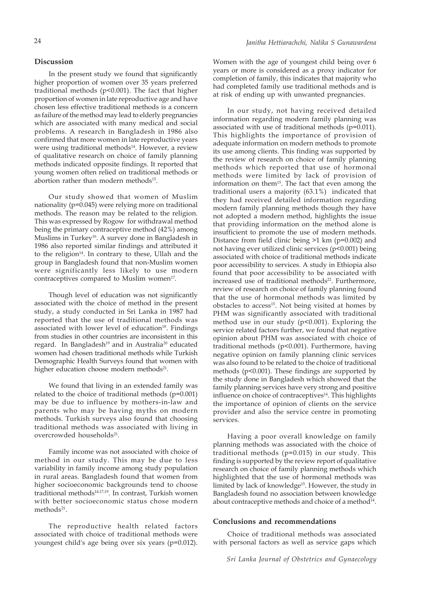### **Discussion**

In the present study we found that significantly higher proportion of women over 35 years preferred traditional methods (p<0.001). The fact that higher proportion of women in late reproductive age and have chosen less effective traditional methods is a concern as failure of the method may lead to elderly pregnancies which are associated with many medical and social problems. A research in Bangladesh in 1986 also confirmed that more women in late reproductive years were using traditional methods<sup>14</sup>. However, a review of qualitative research on choice of family planning methods indicated opposite findings. It reported that young women often relied on traditional methods or abortion rather than modern methods15.

Our study showed that women of Muslim nationality (p=0.045) were relying more on traditional methods. The reason may be related to the religion. This was expressed by Rogow for withdrawal method being the primary contraceptive method (42%) among Muslims in Turkey<sup>16</sup>. A survey done in Bangladesh in 1986 also reported similar findings and attributed it to the religion<sup>14</sup>. In contrary to these, Ullah and the group in Bangladesh found that non-Muslim women were significantly less likely to use modern contraceptives compared to Muslim women<sup>17</sup>.

Though level of education was not significantly associated with the choice of method in the present study, a study conducted in Sri Lanka in 1987 had reported that the use of traditional methods was associated with lower level of education $18$ . Findings from studies in other countries are inconsistent in this regard. In Bangladesh<sup>19</sup> and in Australia<sup>20</sup> educated women had chosen traditional methods while Turkish Demographic Health Surveys found that women with higher education choose modern methods<sup>21</sup>.

We found that living in an extended family was related to the choice of traditional methods (p=0.001) may be due to influence by mothers-in-law and parents who may be having myths on modern methods. Turkish surveys also found that choosing traditional methods was associated with living in overcrowded households<sup>21</sup>.

Family income was not associated with choice of method in our study. This may be due to less variability in family income among study population in rural areas. Bangladesh found that women from higher socioeconomic backgrounds tend to choose traditional methods14,17,19. In contrast, Turkish women with better socioeconomic status chose modern methods<sup>21</sup>.

The reproductive health related factors associated with choice of traditional methods were youngest child's age being over six years (p=0.012).

Women with the age of youngest child being over 6 years or more is considered as a proxy indicator for completion of family, this indicates that majority who had completed family use traditional methods and is at risk of ending up with unwanted pregnancies.

In our study, not having received detailed information regarding modern family planning was associated with use of traditional methods (p=0.011). This highlights the importance of provision of adequate information on modern methods to promote its use among clients. This finding was supported by the review of research on choice of family planning methods which reported that use of hormonal methods were limited by lack of provision of information on them<sup>15</sup>. The fact that even among the traditional users a majority (63.1%) indicated that they had received detailed information regarding modern family planning methods though they have not adopted a modern method, highlights the issue that providing information on the method alone is insufficient to promote the use of modern methods. Distance from field clinic being >1 km (p=0.002) and not having ever utilized clinic services (p<0.001) being associated with choice of traditional methods indicate poor accessibility to services. A study in Ethiopia also found that poor accessibility to be associated with increased use of traditional methods<sup>22</sup>. Furthermore, review of research on choice of family planning found that the use of hormonal methods was limited by obstacles to access<sup>15</sup>. Not being visited at homes by PHM was significantly associated with traditional method use in our study (p<0.001). Exploring the service related factors further, we found that negative opinion about PHM was associated with choice of traditional methods (p<0.001). Furthermore, having negative opinion on family planning clinic services was also found to be related to the choice of traditional methods (p<0.001). These findings are supported by the study done in Bangladesh which showed that the family planning services have very strong and positive influence on choice of contraceptives<sup>14</sup>. This highlights the importance of opinion of clients on the service provider and also the service centre in promoting services.

Having a poor overall knowledge on family planning methods was associated with the choice of traditional methods (p=0.015) in our study. This finding is supported by the review report of qualitative research on choice of family planning methods which highlighted that the use of hormonal methods was limited by lack of knowledge<sup>15</sup>. However, the study in Bangladesh found no association between knowledge about contraceptive methods and choice of a method<sup>14</sup>.

### **Conclusions and recommendations**

Choice of traditional methods was associated with personal factors as well as service gaps which